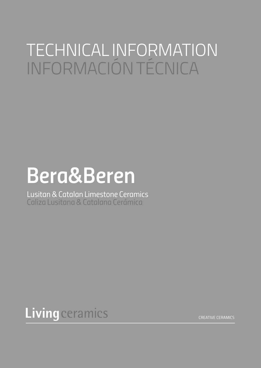## TECHNICAL INFORMATION INFORMACIÓN TÉCNICA

# *Bera&Beren*

*Lusitan & Catalan Limestone Ceramics Caliza Lusitana & Catalana Cerámica*



*CREATIVE CERAMICS*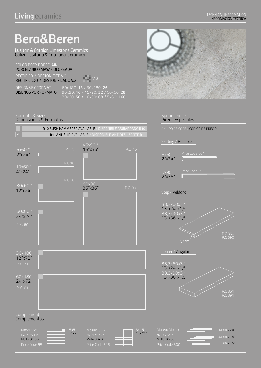### *Bera&Beren*

*Lusitan & Catalan Limestone Ceramics Caliza Lusitana & Catalana Cerámica*

*COLOR BODY PORCELAIN PORCELÁNICO MASA COLOREADA RECTIFIED / DESTONIFIED V.2 RECTIFICADO / DESTONIFICADO V.2 V.2*

*DESIGNS BY FORMAT : DISEÑOS POR FORMATO :*

*60x180: 13 / 30x180: 26 90x90: 16 / 45x90: 32 / 60x60: 28 30x60: 56 / 10x60: 68 / 5x60: 168*

#### *Formats & Sizes*

#### *Dimensiones & Formatos*





#### *Special Pieces Piezas Especiales*

*P.C. PRICE CODE / CÓDIGO DE PRECIO*

#### *Skirting / Rodapié*





#### *Corner / Angular*